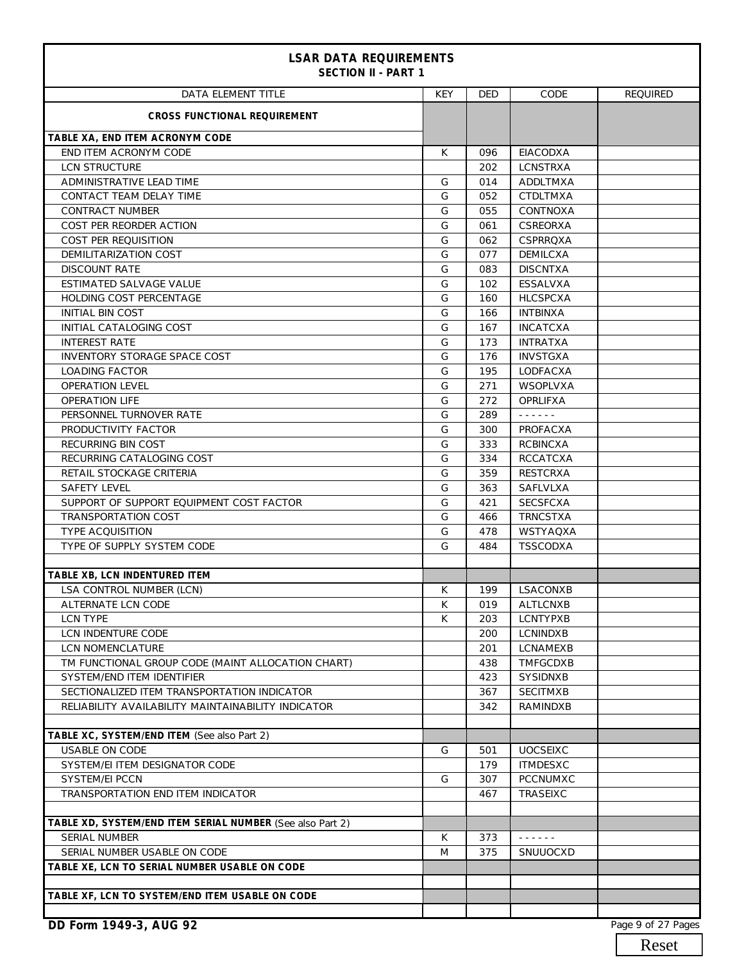| <b>LSAR DATA REQUIREMENTS</b><br><b>SECTION II - PART 1</b> |     |            |                                      |                 |
|-------------------------------------------------------------|-----|------------|--------------------------------------|-----------------|
| <b>DATA ELEMENT TITLE</b>                                   | KEY | <b>DED</b> | CODE                                 | <b>REQUIRED</b> |
| <b>CROSS FUNCTIONAL REQUIREMENT</b>                         |     |            |                                      |                 |
| TABLE XA, END ITEM ACRONYM CODE                             |     |            |                                      |                 |
| END ITEM ACRONYM CODE                                       | K   | 096        | <b>EIACODXA</b>                      |                 |
| <b>LCN STRUCTURE</b>                                        |     | 202        | <b>LCNSTRXA</b>                      |                 |
| ADMINISTRATIVE LEAD TIME                                    | G   | 014        | ADDLTMXA                             |                 |
| CONTACT TEAM DELAY TIME                                     | G   | 052        | <b>CTDLTMXA</b>                      |                 |
| <b>CONTRACT NUMBER</b>                                      | G   | 055        | CONTNOXA                             |                 |
| COST PER REORDER ACTION                                     | G   | 061        | CSREORXA                             |                 |
| COST PER REQUISITION                                        | G   | 062        | CSPRRQXA                             |                 |
| DEMILITARIZATION COST                                       | G   | 077        | <b>DEMILCXA</b>                      |                 |
| <b>DISCOUNT RATE</b>                                        | G   | 083        | <b>DISCNTXA</b>                      |                 |
| ESTIMATED SALVAGE VALUE                                     | G   | 102        | <b>ESSALVXA</b>                      |                 |
| HOLDING COST PERCENTAGE                                     | G   | 160        | <b>HLCSPCXA</b>                      |                 |
| <b>INITIAL BIN COST</b>                                     | G   | 166        | <b>INTBINXA</b>                      |                 |
| INITIAL CATALOGING COST                                     | G   | 167        | <b>INCATCXA</b>                      |                 |
| <b>INTEREST RATE</b>                                        | G   | 173        | <b>INTRATXA</b>                      |                 |
| INVENTORY STORAGE SPACE COST                                | G   | 176        | <b>INVSTGXA</b>                      |                 |
| <b>LOADING FACTOR</b>                                       | G   | 195        | LODFACXA                             |                 |
| <b>OPERATION LEVEL</b>                                      | G   | 271        | <b>WSOPLVXA</b>                      |                 |
| <b>OPERATION LIFE</b>                                       | G   | 272        | <b>OPRLIFXA</b>                      |                 |
| PERSONNEL TURNOVER RATE                                     | G   | 289        | $\omega$ is a set of $\omega$        |                 |
| PRODUCTIVITY FACTOR                                         | G   | 300        | PROFACXA                             |                 |
| RECURRING BIN COST                                          | G   | 333        | <b>RCBINCXA</b>                      |                 |
| RECURRING CATALOGING COST                                   | G   | 334        | <b>RCCATCXA</b>                      |                 |
| RETAIL STOCKAGE CRITERIA                                    | G   | 359        | <b>RESTCRXA</b>                      |                 |
| <b>SAFETY LEVEL</b>                                         | G   | 363        | <b>SAFLVLXA</b>                      |                 |
| SUPPORT OF SUPPORT EQUIPMENT COST FACTOR                    | G   | 421        | <b>SECSFCXA</b>                      |                 |
| <b>TRANSPORTATION COST</b>                                  | G   | 466        | <b>TRNCSTXA</b>                      |                 |
| <b>TYPE ACQUISITION</b>                                     | G   | 478        | WSTYAQXA                             |                 |
| TYPE OF SUPPLY SYSTEM CODE                                  | G   | 484        | <b>TSSCODXA</b>                      |                 |
|                                                             |     |            |                                      |                 |
| TABLE XB, LCN INDENTURED ITEM                               |     |            |                                      |                 |
| <b>LSA CONTROL NUMBER (LCN)</b>                             | K.  | 199        | LSACONXB                             |                 |
| ALTERNATE LCN CODE                                          | К   | 019        | ALTLCNXB                             |                 |
| <b>LCN TYPE</b>                                             | К   | 203        | LCNTYPXB                             |                 |
| LCN INDENTURE CODE                                          |     | 200        | <b>LCNINDXB</b>                      |                 |
| LCN NOMENCLATURE                                            |     | 201        | LCNAMEXB                             |                 |
| TM FUNCTIONAL GROUP CODE (MAINT ALLOCATION CHART)           |     | 438        | TMFGCDXB                             |                 |
| SYSTEM/END ITEM IDENTIFIER                                  |     | 423        | SYSIDNXB                             |                 |
| SECTIONALIZED ITEM TRANSPORTATION INDICATOR                 |     | 367        | <b>SECITMXB</b>                      |                 |
| RELIABILITY AVAILABILITY MAINTAINABILITY INDICATOR          |     | 342        | RAMINDXB                             |                 |
|                                                             |     |            |                                      |                 |
| TABLE XC, SYSTEM/END ITEM (See also Part 2)                 |     |            |                                      |                 |
| <b>USABLE ON CODE</b>                                       | G   | 501        | <b>UOCSEIXC</b>                      |                 |
| SYSTEM/EI ITEM DESIGNATOR CODE                              |     | 179        | <b>ITMDESXC</b>                      |                 |
| <b>SYSTEM/EI PCCN</b>                                       | G   | 307        | PCCNUMXC                             |                 |
| TRANSPORTATION END ITEM INDICATOR                           |     | 467        | TRASEIXC                             |                 |
|                                                             |     |            |                                      |                 |
| TABLE XD, SYSTEM/END ITEM SERIAL NUMBER (See also Part 2)   |     |            |                                      |                 |
| <b>SERIAL NUMBER</b>                                        | K   | 373        | $\omega$ is a second set of $\omega$ |                 |
| SERIAL NUMBER USABLE ON CODE                                | M   | 375        | SNUUOCXD                             |                 |
| TABLE XE, LCN TO SERIAL NUMBER USABLE ON CODE               |     |            |                                      |                 |
|                                                             |     |            |                                      |                 |
| TABLE XF, LCN TO SYSTEM/END ITEM USABLE ON CODE             |     |            |                                      |                 |
|                                                             |     |            |                                      |                 |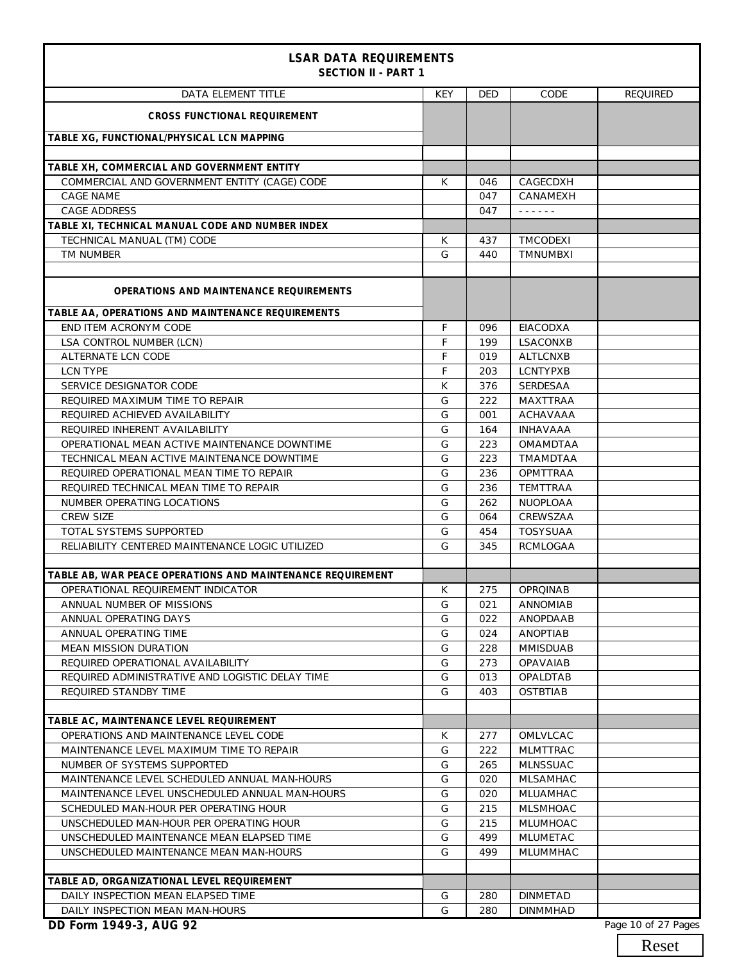| <b>LSAR DATA REQUIREMENTS</b><br><b>SECTION II - PART 1</b> |     |            |                                      |                 |  |
|-------------------------------------------------------------|-----|------------|--------------------------------------|-----------------|--|
| DATA ELEMENT TITLE                                          | KEY | <b>DED</b> | CODE                                 | <b>REQUIRED</b> |  |
| <b>CROSS FUNCTIONAL REQUIREMENT</b>                         |     |            |                                      |                 |  |
| TABLE XG, FUNCTIONAL/PHYSICAL LCN MAPPING                   |     |            |                                      |                 |  |
| TABLE XH, COMMERCIAL AND GOVERNMENT ENTITY                  |     |            |                                      |                 |  |
| COMMERCIAL AND GOVERNMENT ENTITY (CAGE) CODE                | К   | 046        | CAGECDXH                             |                 |  |
| <b>CAGE NAME</b>                                            |     | 047        | CANAMEXH                             |                 |  |
| <b>CAGE ADDRESS</b>                                         |     | 047        | $\omega$ is a second set of $\omega$ |                 |  |
| TABLE XI, TECHNICAL MANUAL CODE AND NUMBER INDEX            |     |            |                                      |                 |  |
| TECHNICAL MANUAL (TM) CODE                                  | К   | 437        | TMCODEXI                             |                 |  |
| TM NUMBER                                                   | G   | 440        | <b>TMNUMBXI</b>                      |                 |  |
|                                                             |     |            |                                      |                 |  |
| OPERATIONS AND MAINTENANCE REQUIREMENTS                     |     |            |                                      |                 |  |
| TABLE AA, OPERATIONS AND MAINTENANCE REQUIREMENTS           |     |            |                                      |                 |  |
| END ITEM ACRONYM CODE                                       | F   | 096        | <b>EIACODXA</b>                      |                 |  |
| LSA CONTROL NUMBER (LCN)                                    | F   | 199        | LSACONXB                             |                 |  |
| <b>ALTERNATE LCN CODE</b>                                   | F   | 019        | <b>ALTLCNXB</b>                      |                 |  |
| <b>LCN TYPE</b>                                             | F   | 203        | <b>LCNTYPXB</b>                      |                 |  |
| SERVICE DESIGNATOR CODE                                     | K   | 376        | <b>SERDESAA</b>                      |                 |  |
| REQUIRED MAXIMUM TIME TO REPAIR                             | G   | 222        | <b>MAXTTRAA</b>                      |                 |  |
| REQUIRED ACHIEVED AVAILABILITY                              | G   | 001        | <b>ACHAVAAA</b>                      |                 |  |
| REQUIRED INHERENT AVAILABILITY                              | G   | 164        | <b>INHAVAAA</b>                      |                 |  |
| OPERATIONAL MEAN ACTIVE MAINTENANCE DOWNTIME                | G   | 223        | OMAMDTAA                             |                 |  |
| TECHNICAL MEAN ACTIVE MAINTENANCE DOWNTIME                  | G   | 223        | TMAMDTAA                             |                 |  |
| REQUIRED OPERATIONAL MEAN TIME TO REPAIR                    | G   | 236        | <b>OPMTTRAA</b>                      |                 |  |
| REQUIRED TECHNICAL MEAN TIME TO REPAIR                      | G   | 236        | <b>TEMTTRAA</b>                      |                 |  |
| NUMBER OPERATING LOCATIONS                                  | G   | 262        | NUOPLOAA                             |                 |  |
| <b>CREW SIZE</b>                                            | G   | 064        | CREWSZAA                             |                 |  |
| TOTAL SYSTEMS SUPPORTED                                     | G   | 454        | <b>TOSYSUAA</b>                      |                 |  |
| RELIABILITY CENTERED MAINTENANCE LOGIC UTILIZED             | G   | 345        | <b>RCMLOGAA</b>                      |                 |  |
|                                                             |     |            |                                      |                 |  |
| TABLE AB, WAR PEACE OPERATIONS AND MAINTENANCE REQUIREMENT  |     |            |                                      |                 |  |
| OPERATIONAL REQUIREMENT INDICATOR                           | K   | 275        | <b>OPROINAB</b>                      |                 |  |
| ANNUAL NUMBER OF MISSIONS                                   | G   | 021        | <b>ANNOMIAB</b>                      |                 |  |
| ANNUAL OPERATING DAYS                                       | G   | 022        | ANOPDAAB                             |                 |  |
| ANNUAL OPERATING TIME                                       | G   | 024        | ANOPTIAB                             |                 |  |
| MEAN MISSION DURATION                                       | G   | 228        | <b>MMISDUAB</b>                      |                 |  |
| REQUIRED OPERATIONAL AVAILABILITY                           | G   | 273        | <b>OPAVAIAB</b>                      |                 |  |
| REQUIRED ADMINISTRATIVE AND LOGISTIC DELAY TIME             | G   | 013        | OPALDTAB                             |                 |  |
| REQUIRED STANDBY TIME                                       | G   | 403        | <b>OSTBTIAB</b>                      |                 |  |
|                                                             |     |            |                                      |                 |  |
| TABLE AC, MAINTENANCE LEVEL REQUIREMENT                     |     |            |                                      |                 |  |
| OPERATIONS AND MAINTENANCE LEVEL CODE                       | К   | 277        | OMLVLCAC                             |                 |  |
| MAINTENANCE LEVEL MAXIMUM TIME TO REPAIR                    | G   | 222        | <b>MLMTTRAC</b>                      |                 |  |
| NUMBER OF SYSTEMS SUPPORTED                                 | G   | 265        | <b>MLNSSUAC</b>                      |                 |  |
| MAINTENANCE LEVEL SCHEDULED ANNUAL MAN-HOURS                | G   | 020        | <b>MLSAMHAC</b>                      |                 |  |
| MAINTENANCE LEVEL UNSCHEDULED ANNUAL MAN-HOURS              | G   | 020        | MLUAMHAC                             |                 |  |
| SCHEDULED MAN-HOUR PER OPERATING HOUR                       | G   | 215        | <b>MLSMHOAC</b>                      |                 |  |
| UNSCHEDULED MAN-HOUR PER OPERATING HOUR                     | G   | 215        | MLUMHOAC                             |                 |  |
| UNSCHEDULED MAINTENANCE MEAN ELAPSED TIME                   | G   | 499        | MLUMETAC                             |                 |  |
| UNSCHEDULED MAINTENANCE MEAN MAN-HOURS                      | G   | 499        | MLUMMHAC                             |                 |  |
|                                                             |     |            |                                      |                 |  |
| TABLE AD, ORGANIZATIONAL LEVEL REQUIREMENT                  |     |            |                                      |                 |  |
| DAILY INSPECTION MEAN ELAPSED TIME                          | G   | 280        | <b>DINMETAD</b>                      |                 |  |
| DAILY INSPECTION MEAN MAN-HOURS                             | G   | 280        | <b>DINMMHAD</b>                      |                 |  |

Reset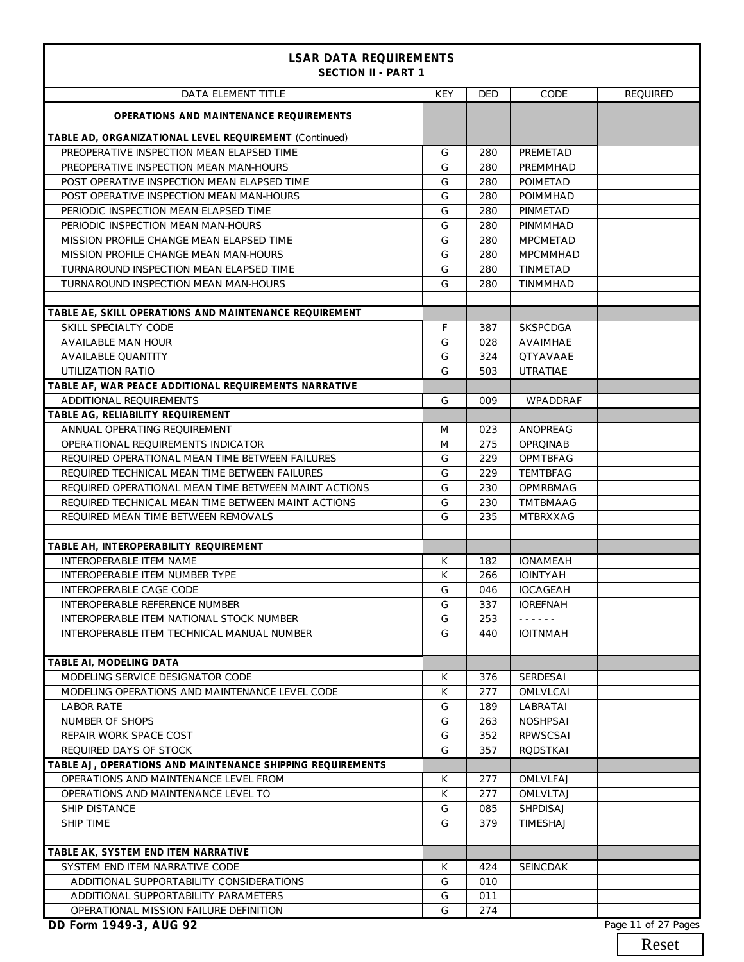| <b>LSAR DATA REQUIREMENTS</b><br><b>SECTION II - PART 1</b> |     |            |                                      |                 |
|-------------------------------------------------------------|-----|------------|--------------------------------------|-----------------|
| DATA ELEMENT TITLE                                          | KEY | <b>DED</b> | CODE                                 | <b>REQUIRED</b> |
| <b>OPERATIONS AND MAINTENANCE REQUIREMENTS</b>              |     |            |                                      |                 |
| TABLE AD, ORGANIZATIONAL LEVEL REQUIREMENT (Continued)      |     |            |                                      |                 |
| PREOPERATIVE INSPECTION MEAN ELAPSED TIME                   | G   | 280        | PREMETAD                             |                 |
| PREOPERATIVE INSPECTION MEAN MAN-HOURS                      | G   | 280        | PREMMHAD                             |                 |
| POST OPERATIVE INSPECTION MEAN ELAPSED TIME                 | G   | 280        | POIMETAD                             |                 |
| POST OPERATIVE INSPECTION MEAN MAN-HOURS                    | G   | 280        | <b>POIMMHAD</b>                      |                 |
| PERIODIC INSPECTION MEAN ELAPSED TIME                       | G   | 280        | PINMETAD                             |                 |
| PERIODIC INSPECTION MEAN MAN-HOURS                          | G   | 280        | PINMMHAD                             |                 |
| MISSION PROFILE CHANGE MEAN ELAPSED TIME                    | G   | 280        | <b>MPCMETAD</b>                      |                 |
| MISSION PROFILE CHANGE MEAN MAN-HOURS                       | G   | 280        | <b>MPCMMHAD</b>                      |                 |
| TURNAROUND INSPECTION MEAN ELAPSED TIME                     | G   | 280        | <b>TINMETAD</b>                      |                 |
| TURNAROUND INSPECTION MEAN MAN-HOURS                        | G   | 280        | <b>TINMMHAD</b>                      |                 |
| TABLE AE, SKILL OPERATIONS AND MAINTENANCE REQUIREMENT      |     |            |                                      |                 |
| SKILL SPECIALTY CODE                                        | F   | 387        | <b>SKSPCDGA</b>                      |                 |
| AVAILABLE MAN HOUR                                          | G   | 028        | AVAIMHAE                             |                 |
| AVAILABLE QUANTITY                                          | G   | 324        | <b>QTYAVAAE</b>                      |                 |
| UTILIZATION RATIO                                           | G   | 503        | <b>UTRATIAE</b>                      |                 |
| TABLE AF, WAR PEACE ADDITIONAL REQUIREMENTS NARRATIVE       |     |            |                                      |                 |
| ADDITIONAL REQUIREMENTS                                     | G   | 009        | WPADDRAF                             |                 |
| TABLE AG, RELIABILITY REQUIREMENT                           |     |            |                                      |                 |
| ANNUAL OPERATING REQUIREMENT                                | M   | 023        | ANOPREAG                             |                 |
| OPERATIONAL REQUIREMENTS INDICATOR                          | M   | 275        | <b>OPROINAB</b>                      |                 |
| REQUIRED OPERATIONAL MEAN TIME BETWEEN FAILURES             | G   | 229        | OPMTBFAG                             |                 |
| REQUIRED TECHNICAL MEAN TIME BETWEEN FAILURES               | G   | 229        | <b>TEMTBFAG</b>                      |                 |
| REQUIRED OPERATIONAL MEAN TIME BETWEEN MAINT ACTIONS        | G   | 230        | OPMRBMAG                             |                 |
| REQUIRED TECHNICAL MEAN TIME BETWEEN MAINT ACTIONS          | G   | 230        | TMTBMAAG                             |                 |
| REQUIRED MEAN TIME BETWEEN REMOVALS                         | G   | 235        | <b>MTBRXXAG</b>                      |                 |
|                                                             |     |            |                                      |                 |
| TABLE AH, INTEROPERABILITY REQUIREMENT                      |     |            |                                      |                 |
| <b>INTEROPERABLE ITEM NAME</b>                              | K   | 182        | <b>IONAMEAH</b>                      |                 |
| INTEROPERABLE ITEM NUMBER TYPE                              | K   | 266        | <b>IOINTYAH</b>                      |                 |
| INTEROPERABLE CAGE CODE                                     | G   | 046        | <b>IOCAGEAH</b>                      |                 |
| INTEROPERABLE REFERENCE NUMBER                              | G   | 337        | <b>IOREFNAH</b>                      |                 |
| INTEROPERABLE ITEM NATIONAL STOCK NUMBER                    | G   | 253        | $\omega$ is a second set of $\omega$ |                 |
| INTEROPERABLE ITEM TECHNICAL MANUAL NUMBER                  | G   | 440        | <b>IOITNMAH</b>                      |                 |
| TABLE AI, MODELING DATA                                     |     |            |                                      |                 |
| MODELING SERVICE DESIGNATOR CODE                            | K   | 376        | <b>SERDESAI</b>                      |                 |
| MODELING OPERATIONS AND MAINTENANCE LEVEL CODE              | К   | 277        | <b>OMLVLCAI</b>                      |                 |
| <b>LABOR RATE</b>                                           | G   | 189        | LABRATAI                             |                 |
| NUMBER OF SHOPS                                             | G   | 263        | <b>NOSHPSAI</b>                      |                 |
| REPAIR WORK SPACE COST                                      | G   | 352        | <b>RPWSCSAI</b>                      |                 |
| REQUIRED DAYS OF STOCK                                      | G   | 357        | <b>RODSTKAI</b>                      |                 |
| TABLE AJ, OPERATIONS AND MAINTENANCE SHIPPING REQUIREMENTS  |     |            |                                      |                 |
| OPERATIONS AND MAINTENANCE LEVEL FROM                       | K   | 277        | OMLVLFAJ                             |                 |
| OPERATIONS AND MAINTENANCE LEVEL TO                         | К   | 277        | OMLVLTAJ                             |                 |
| <b>SHIP DISTANCE</b>                                        | G   | 085        | SHPDISAJ                             |                 |
| SHIP TIME                                                   | G   | 379        | TIMESHAJ                             |                 |
|                                                             |     |            |                                      |                 |
| TABLE AK, SYSTEM END ITEM NARRATIVE                         |     |            |                                      |                 |
| SYSTEM END ITEM NARRATIVE CODE                              | K   | 424        | <b>SEINCDAK</b>                      |                 |
| ADDITIONAL SUPPORTABILITY CONSIDERATIONS                    | G   | 010        |                                      |                 |
| ADDITIONAL SUPPORTABILITY PARAMETERS                        | G   | 011        |                                      |                 |
| OPERATIONAL MISSION FAILURE DEFINITION                      | G   | 274        |                                      |                 |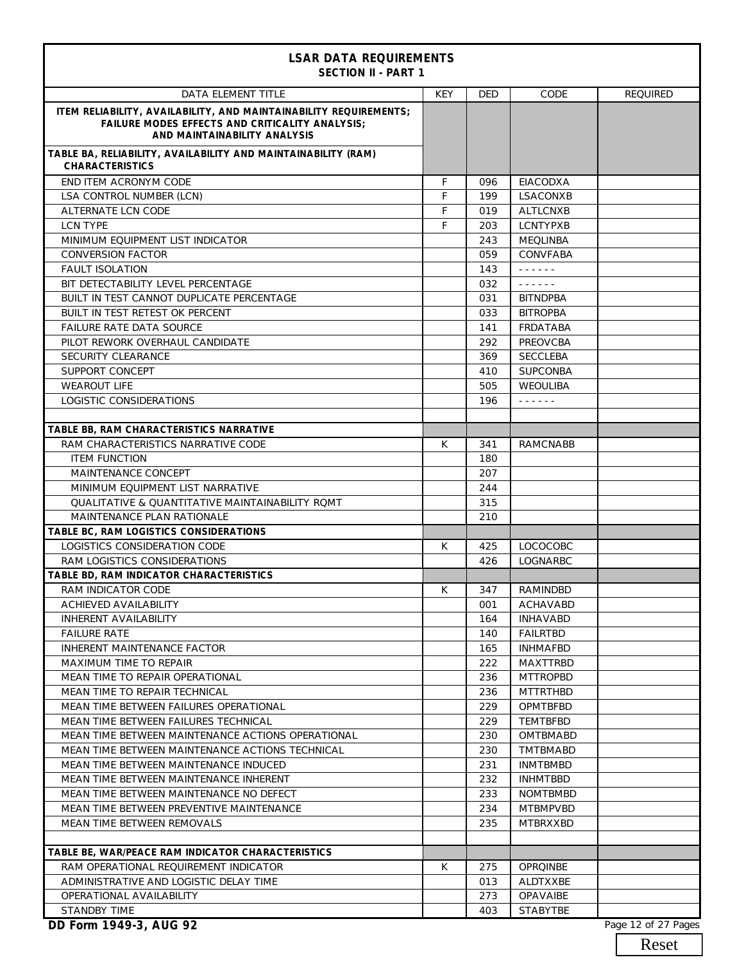| <b>LSAR DATA REQUIREMENTS</b><br><b>SECTION II - PART 1</b>                                                                                                 |     |     |                                      |                 |
|-------------------------------------------------------------------------------------------------------------------------------------------------------------|-----|-----|--------------------------------------|-----------------|
| <b>DATA ELEMENT TITLE</b>                                                                                                                                   | KEY | DED | CODE                                 | <b>REQUIRED</b> |
| ITEM RELIABILITY, AVAILABILITY, AND MAINTAINABILITY REQUIREMENTS;<br><b>FAILURE MODES EFFECTS AND CRITICALITY ANALYSIS;</b><br>AND MAINTAINABILITY ANALYSIS |     |     |                                      |                 |
| TABLE BA, RELIABILITY, AVAILABILITY AND MAINTAINABILITY (RAM)<br><b>CHARACTERISTICS</b>                                                                     |     |     |                                      |                 |
| END ITEM ACRONYM CODE                                                                                                                                       | F   | 096 | EIACODXA                             |                 |
| LSA CONTROL NUMBER (LCN)                                                                                                                                    | F   | 199 | LSACONXB                             |                 |
| ALTERNATE LCN CODE                                                                                                                                          | F   | 019 | <b>ALTLCNXB</b>                      |                 |
| <b>LCN TYPE</b>                                                                                                                                             | F   | 203 | <b>LCNTYPXB</b>                      |                 |
| MINIMUM EQUIPMENT LIST INDICATOR                                                                                                                            |     | 243 | <b>MEQLINBA</b>                      |                 |
| <b>CONVERSION FACTOR</b>                                                                                                                                    |     | 059 | CONVFABA                             |                 |
| <b>FAULT ISOLATION</b>                                                                                                                                      |     | 143 | $\omega$ is a set of $\omega$        |                 |
| BIT DETECTABILITY LEVEL PERCENTAGE                                                                                                                          |     | 032 | $\omega$ is a second set of $\omega$ |                 |
| BUILT IN TEST CANNOT DUPLICATE PERCENTAGE                                                                                                                   |     | 031 | <b>BITNDPBA</b>                      |                 |
| BUILT IN TEST RETEST OK PERCENT                                                                                                                             |     | 033 | <b>BITROPBA</b>                      |                 |
| <b>FAILURE RATE DATA SOURCE</b>                                                                                                                             |     | 141 | FRDATABA                             |                 |
| PILOT REWORK OVERHAUL CANDIDATE                                                                                                                             |     | 292 | PREOVCBA                             |                 |
| SECURITY CLEARANCE                                                                                                                                          |     | 369 | <b>SECCLEBA</b>                      |                 |
| SUPPORT CONCEPT                                                                                                                                             |     | 410 | <b>SUPCONBA</b>                      |                 |
| <b>WEAROUT LIFE</b>                                                                                                                                         |     | 505 | WEOULIBA                             |                 |
| LOGISTIC CONSIDERATIONS                                                                                                                                     |     | 196 | $\omega$ is a set of $\omega$        |                 |
|                                                                                                                                                             |     |     |                                      |                 |
| TABLE BB, RAM CHARACTERISTICS NARRATIVE                                                                                                                     |     |     |                                      |                 |
| RAM CHARACTERISTICS NARRATIVE CODE                                                                                                                          | К   | 341 | <b>RAMCNABB</b>                      |                 |
| <b>ITEM FUNCTION</b>                                                                                                                                        |     | 180 |                                      |                 |
| MAINTENANCE CONCEPT                                                                                                                                         |     | 207 |                                      |                 |
| MINIMUM EQUIPMENT LIST NARRATIVE                                                                                                                            |     | 244 |                                      |                 |
| <b>QUALITATIVE &amp; QUANTITATIVE MAINTAINABILITY ROMT</b>                                                                                                  |     | 315 |                                      |                 |
| MAINTENANCE PLAN RATIONALE                                                                                                                                  |     | 210 |                                      |                 |
| TABLE BC, RAM LOGISTICS CONSIDERATIONS                                                                                                                      |     |     |                                      |                 |
| LOGISTICS CONSIDERATION CODE                                                                                                                                | К   | 425 | <b>LOCOCOBC</b>                      |                 |
| RAM LOGISTICS CONSIDERATIONS                                                                                                                                |     | 426 | LOGNARBC                             |                 |
| TABLE BD, RAM INDICATOR CHARACTERISTICS                                                                                                                     |     |     |                                      |                 |
| <b>RAM INDICATOR CODE</b>                                                                                                                                   | K.  | 347 | RAMINDBD                             |                 |
| <b>ACHIEVED AVAILABILITY</b>                                                                                                                                |     | 001 | ACHAVABD                             |                 |
| <b>INHERENT AVAILABILITY</b>                                                                                                                                |     | 164 | <b>INHAVABD</b>                      |                 |
| <b>FAILURE RATE</b>                                                                                                                                         |     | 140 | <b>FAILRTBD</b>                      |                 |
| INHERENT MAINTENANCE FACTOR                                                                                                                                 |     | 165 | <b>INHMAFBD</b>                      |                 |
| MAXIMUM TIME TO REPAIR                                                                                                                                      |     | 222 | MAXTTRBD                             |                 |
| MEAN TIME TO REPAIR OPERATIONAL                                                                                                                             |     | 236 | <b>MTTROPBD</b>                      |                 |
| MEAN TIME TO REPAIR TECHNICAL                                                                                                                               |     | 236 | <b>MTTRTHBD</b>                      |                 |
| MEAN TIME BETWEEN FAILURES OPERATIONAL                                                                                                                      |     | 229 | OPMTBFBD                             |                 |
| MEAN TIME BETWEEN FAILURES TECHNICAL                                                                                                                        |     | 229 | TEMTBFBD                             |                 |
| MEAN TIME BETWEEN MAINTENANCE ACTIONS OPERATIONAL                                                                                                           |     | 230 | <b>OMTBMABD</b>                      |                 |
| MEAN TIME BETWEEN MAINTENANCE ACTIONS TECHNICAL                                                                                                             |     | 230 | <b>TMTBMABD</b>                      |                 |
| MEAN TIME BETWEEN MAINTENANCE INDUCED                                                                                                                       |     | 231 | <b>INMTBMBD</b>                      |                 |
| MEAN TIME BETWEEN MAINTENANCE INHERENT                                                                                                                      |     | 232 | <b>INHMTBBD</b>                      |                 |
| MEAN TIME BETWEEN MAINTENANCE NO DEFECT                                                                                                                     |     | 233 | <b>NOMTBMBD</b>                      |                 |
| MEAN TIME BETWEEN PREVENTIVE MAINTENANCE                                                                                                                    |     | 234 | <b>MTBMPVBD</b>                      |                 |
| MEAN TIME BETWEEN REMOVALS                                                                                                                                  |     | 235 | MTBRXXBD                             |                 |
|                                                                                                                                                             |     |     |                                      |                 |
| TABLE BE, WAR/PEACE RAM INDICATOR CHARACTERISTICS                                                                                                           |     |     |                                      |                 |
| RAM OPERATIONAL REQUIREMENT INDICATOR                                                                                                                       | K   | 275 | <b>OPROINBE</b>                      |                 |
| ADMINISTRATIVE AND LOGISTIC DELAY TIME                                                                                                                      |     | 013 | ALDTXXBE                             |                 |
| OPERATIONAL AVAILABILITY                                                                                                                                    |     | 273 | OPAVAIBE                             |                 |
| STANDBY TIME                                                                                                                                                |     | 403 | <b>STABYTBE</b>                      |                 |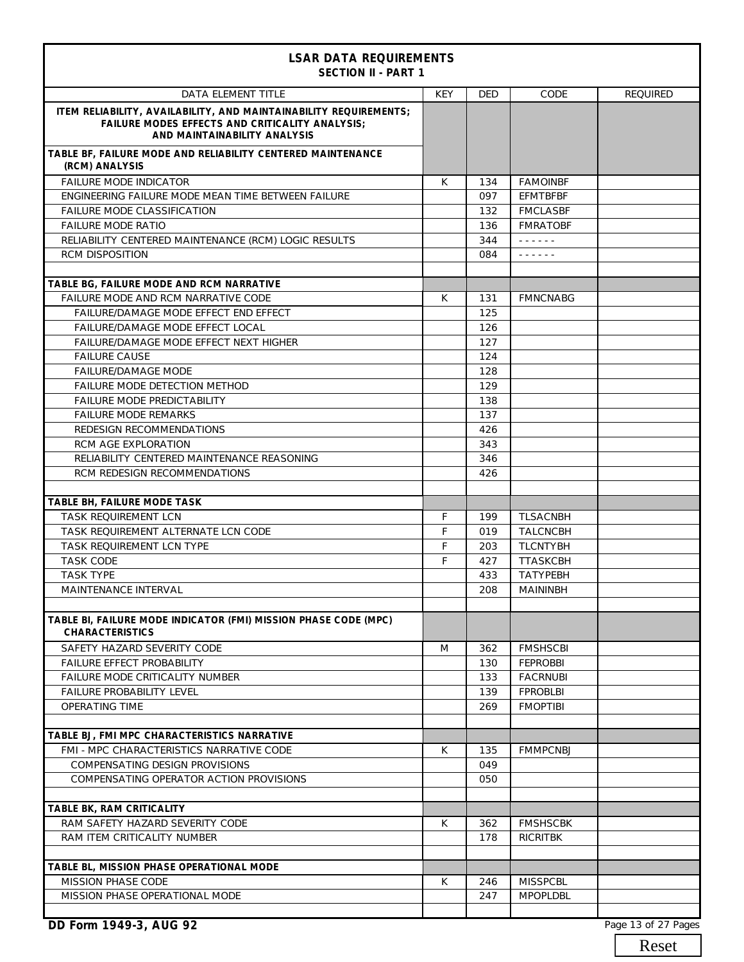| <b>LSAR DATA REQUIREMENTS</b><br><b>SECTION II - PART 1</b>                                                                                                 |            |            |                               |                 |  |
|-------------------------------------------------------------------------------------------------------------------------------------------------------------|------------|------------|-------------------------------|-----------------|--|
| <b>DATA ELEMENT TITLE</b>                                                                                                                                   | <b>KEY</b> | <b>DED</b> | CODE                          | <b>REQUIRED</b> |  |
| ITEM RELIABILITY, AVAILABILITY, AND MAINTAINABILITY REQUIREMENTS;<br><b>FAILURE MODES EFFECTS AND CRITICALITY ANALYSIS;</b><br>AND MAINTAINABILITY ANALYSIS |            |            |                               |                 |  |
| TABLE BF, FAILURE MODE AND RELIABILITY CENTERED MAINTENANCE<br>(RCM) ANALYSIS                                                                               |            |            |                               |                 |  |
| <b>FAILURE MODE INDICATOR</b>                                                                                                                               | K          | 134        | <b>FAMOINBF</b>               |                 |  |
| ENGINEERING FAILURE MODE MEAN TIME BETWEEN FAILURE                                                                                                          |            | 097        | <b>EFMTBFBF</b>               |                 |  |
| <b>FAILURE MODE CLASSIFICATION</b>                                                                                                                          |            | 132        | <b>FMCLASBF</b>               |                 |  |
| <b>FAILURE MODE RATIO</b>                                                                                                                                   |            | 136        | <b>FMRATOBF</b>               |                 |  |
| RELIABILITY CENTERED MAINTENANCE (RCM) LOGIC RESULTS                                                                                                        |            | 344        | $\omega$ is a set of $\omega$ |                 |  |
| <b>RCM DISPOSITION</b>                                                                                                                                      |            | 084        | والوالو والوالو               |                 |  |
| TABLE BG, FAILURE MODE AND RCM NARRATIVE                                                                                                                    |            |            |                               |                 |  |
| FAILURE MODE AND RCM NARRATIVE CODE                                                                                                                         | К          | 131        | <b>FMNCNABG</b>               |                 |  |
| FAILURE/DAMAGE MODE EFFECT END EFFECT                                                                                                                       |            | 125        |                               |                 |  |
| FAILURE/DAMAGE MODE EFFECT LOCAL                                                                                                                            |            | 126        |                               |                 |  |
| FAILURE/DAMAGE MODE EFFECT NEXT HIGHER                                                                                                                      |            | 127        |                               |                 |  |
| <b>FAILURE CAUSE</b>                                                                                                                                        |            | 124        |                               |                 |  |
| <b>FAILURE/DAMAGE MODE</b>                                                                                                                                  |            | 128        |                               |                 |  |
| FAILURE MODE DETECTION METHOD                                                                                                                               |            | 129        |                               |                 |  |
| FAILURE MODE PREDICTABILITY                                                                                                                                 |            | 138        |                               |                 |  |
| <b>FAILURE MODE REMARKS</b>                                                                                                                                 |            | 137        |                               |                 |  |
| REDESIGN RECOMMENDATIONS                                                                                                                                    |            | 426        |                               |                 |  |
| RCM AGE EXPLORATION                                                                                                                                         |            | 343        |                               |                 |  |
| RELIABILITY CENTERED MAINTENANCE REASONING                                                                                                                  |            | 346        |                               |                 |  |
| RCM REDESIGN RECOMMENDATIONS                                                                                                                                |            | 426        |                               |                 |  |
|                                                                                                                                                             |            |            |                               |                 |  |
| TABLE BH, FAILURE MODE TASK                                                                                                                                 |            |            |                               |                 |  |
| <b>TASK REOUIREMENT LCN</b>                                                                                                                                 | F          | 199        | <b>TLSACNBH</b>               |                 |  |
| TASK REQUIREMENT ALTERNATE LCN CODE                                                                                                                         | F          | 019        | <b>TALCNCBH</b>               |                 |  |
| TASK REQUIREMENT LCN TYPE                                                                                                                                   | F          | 203        | <b>TLCNTYBH</b>               |                 |  |
| <b>TASK CODE</b>                                                                                                                                            | F          | 427        | <b>TTASKCBH</b>               |                 |  |
| <b>TASK TYPE</b>                                                                                                                                            |            | 433        | <b>TATYPEBH</b>               |                 |  |
| MAINTENANCE INTERVAL                                                                                                                                        |            | 208        | <b>MAININBH</b>               |                 |  |
|                                                                                                                                                             |            |            |                               |                 |  |
| TABLE BI, FAILURE MODE INDICATOR (FMI) MISSION PHASE CODE (MPC)<br><b>CHARACTERISTICS</b>                                                                   |            |            |                               |                 |  |
| SAFETY HAZARD SEVERITY CODE                                                                                                                                 | M          | 362        | <b>FMSHSCBI</b>               |                 |  |
| FAILURE EFFECT PROBABILITY                                                                                                                                  |            | 130        | <b>FEPROBBI</b>               |                 |  |
| FAILURE MODE CRITICALITY NUMBER                                                                                                                             |            | 133        | <b>FACRNUBI</b>               |                 |  |
| FAILURE PROBABILITY LEVEL                                                                                                                                   |            | 139        | <b>FPROBLBI</b>               |                 |  |
| OPERATING TIME                                                                                                                                              |            | 269        | <b>FMOPTIBI</b>               |                 |  |
|                                                                                                                                                             |            |            |                               |                 |  |
| TABLE BJ, FMI MPC CHARACTERISTICS NARRATIVE                                                                                                                 |            |            |                               |                 |  |
| FMI - MPC CHARACTERISTICS NARRATIVE CODE                                                                                                                    | K          | 135        | <b>FMMPCNBJ</b>               |                 |  |
| COMPENSATING DESIGN PROVISIONS                                                                                                                              |            | 049        |                               |                 |  |
| COMPENSATING OPERATOR ACTION PROVISIONS                                                                                                                     |            | 050        |                               |                 |  |
|                                                                                                                                                             |            |            |                               |                 |  |
| TABLE BK, RAM CRITICALITY                                                                                                                                   |            |            |                               |                 |  |
| RAM SAFETY HAZARD SEVERITY CODE                                                                                                                             | К          | 362        | <b>FMSHSCBK</b>               |                 |  |
| RAM ITEM CRITICALITY NUMBER                                                                                                                                 |            | 178        | <b>RICRITBK</b>               |                 |  |
|                                                                                                                                                             |            |            |                               |                 |  |
| TABLE BL, MISSION PHASE OPERATIONAL MODE                                                                                                                    |            |            |                               |                 |  |
| MISSION PHASE CODE                                                                                                                                          | K          | 246        | <b>MISSPCBL</b>               |                 |  |
| MISSION PHASE OPERATIONAL MODE                                                                                                                              |            | 247        | <b>MPOPLDBL</b>               |                 |  |
|                                                                                                                                                             |            |            |                               |                 |  |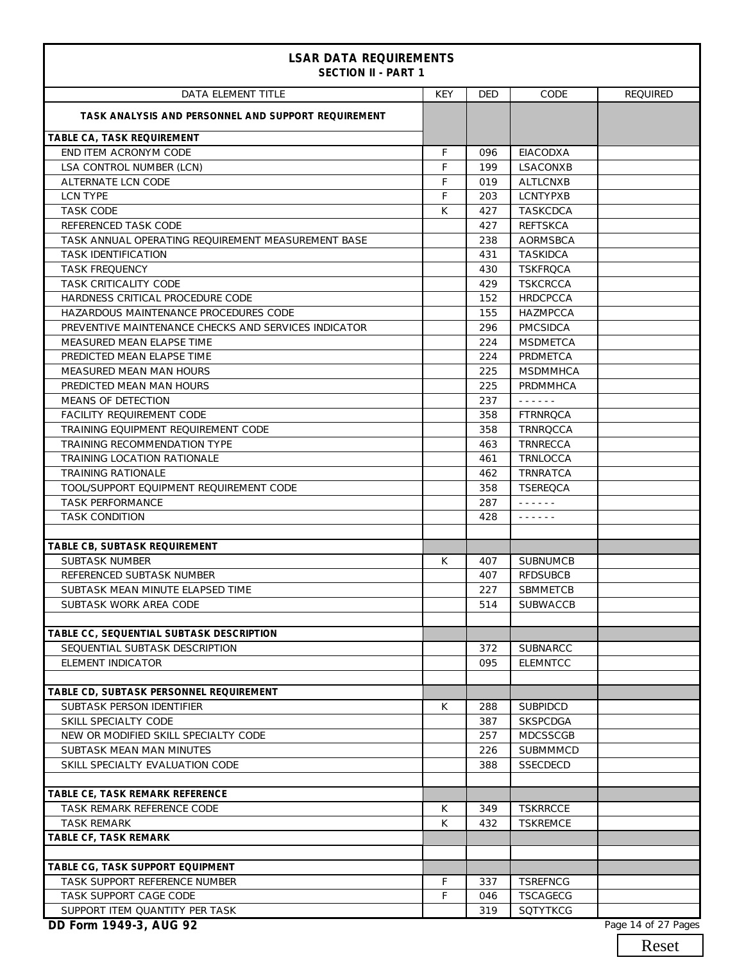| <b>LSAR DATA REQUIREMENTS</b><br><b>SECTION II - PART 1</b> |            |            |                                                                                                                                                                                                                                                                                                                                    |                 |
|-------------------------------------------------------------|------------|------------|------------------------------------------------------------------------------------------------------------------------------------------------------------------------------------------------------------------------------------------------------------------------------------------------------------------------------------|-----------------|
| DATA ELEMENT TITLE                                          | <b>KEY</b> | <b>DED</b> | CODE                                                                                                                                                                                                                                                                                                                               | <b>REQUIRED</b> |
| TASK ANALYSIS AND PERSONNEL AND SUPPORT REQUIREMENT         |            |            |                                                                                                                                                                                                                                                                                                                                    |                 |
| TABLE CA, TASK REQUIREMENT                                  |            |            |                                                                                                                                                                                                                                                                                                                                    |                 |
| END ITEM ACRONYM CODE                                       | F          | 096        | <b>EIACODXA</b>                                                                                                                                                                                                                                                                                                                    |                 |
| LSA CONTROL NUMBER (LCN)                                    | F          | 199        | LSACONXB                                                                                                                                                                                                                                                                                                                           |                 |
| ALTERNATE LCN CODE                                          | F          | 019        | <b>ALTLCNXB</b>                                                                                                                                                                                                                                                                                                                    |                 |
| LCN TYPE                                                    | F          | 203        | <b>LCNTYPXB</b>                                                                                                                                                                                                                                                                                                                    |                 |
| <b>TASK CODE</b>                                            | K          | 427        | <b>TASKCDCA</b>                                                                                                                                                                                                                                                                                                                    |                 |
| REFERENCED TASK CODE                                        |            | 427        | <b>REFTSKCA</b>                                                                                                                                                                                                                                                                                                                    |                 |
| TASK ANNUAL OPERATING REQUIREMENT MEASUREMENT BASE          |            | 238        | AORMSBCA                                                                                                                                                                                                                                                                                                                           |                 |
| <b>TASK IDENTIFICATION</b>                                  |            | 431        | <b>TASKIDCA</b>                                                                                                                                                                                                                                                                                                                    |                 |
| <b>TASK FREQUENCY</b>                                       |            | 430        | <b>TSKFROCA</b>                                                                                                                                                                                                                                                                                                                    |                 |
| TASK CRITICALITY CODE                                       |            | 429        | <b>TSKCRCCA</b>                                                                                                                                                                                                                                                                                                                    |                 |
| HARDNESS CRITICAL PROCEDURE CODE                            |            | 152        | <b>HRDCPCCA</b>                                                                                                                                                                                                                                                                                                                    |                 |
| HAZARDOUS MAINTENANCE PROCEDURES CODE                       |            | 155        | <b>HAZMPCCA</b>                                                                                                                                                                                                                                                                                                                    |                 |
| PREVENTIVE MAINTENANCE CHECKS AND SERVICES INDICATOR        |            | 296        | <b>PMCSIDCA</b>                                                                                                                                                                                                                                                                                                                    |                 |
| MEASURED MEAN ELAPSE TIME                                   |            | 224        | <b>MSDMETCA</b>                                                                                                                                                                                                                                                                                                                    |                 |
| PREDICTED MEAN ELAPSE TIME                                  |            | 224        | PRDMETCA                                                                                                                                                                                                                                                                                                                           |                 |
| MEASURED MEAN MAN HOURS                                     |            | 225        | <b>MSDMMHCA</b>                                                                                                                                                                                                                                                                                                                    |                 |
| PREDICTED MEAN MAN HOURS                                    |            | 225        | PRDMMHCA                                                                                                                                                                                                                                                                                                                           |                 |
| MEANS OF DETECTION                                          |            | 237        | $\mathbf{1} \quad \mathbf{2} \quad \mathbf{3} \quad \mathbf{4} \quad \mathbf{5} \quad \mathbf{6} \quad \mathbf{7}$                                                                                                                                                                                                                 |                 |
| FACILITY REQUIREMENT CODE                                   |            | 358        | <b>FTRNRQCA</b>                                                                                                                                                                                                                                                                                                                    |                 |
| TRAINING EQUIPMENT REQUIREMENT CODE                         |            | 358        | <b>TRNRQCCA</b>                                                                                                                                                                                                                                                                                                                    |                 |
| TRAINING RECOMMENDATION TYPE                                |            | 463        | TRNRECCA                                                                                                                                                                                                                                                                                                                           |                 |
| TRAINING LOCATION RATIONALE                                 |            | 461        | TRNLOCCA                                                                                                                                                                                                                                                                                                                           |                 |
| <b>TRAINING RATIONALE</b>                                   |            | 462        | <b>TRNRATCA</b>                                                                                                                                                                                                                                                                                                                    |                 |
| TOOL/SUPPORT EQUIPMENT REQUIREMENT CODE                     |            | 358        | <b>TSEREQCA</b>                                                                                                                                                                                                                                                                                                                    |                 |
| <b>TASK PERFORMANCE</b>                                     |            | 287        | $\frac{1}{2} \left( \begin{array}{ccc} 1 & 0 & 0 & 0 & 0 \\ 0 & 0 & 0 & 0 & 0 \\ 0 & 0 & 0 & 0 & 0 \\ 0 & 0 & 0 & 0 & 0 \\ 0 & 0 & 0 & 0 & 0 \\ 0 & 0 & 0 & 0 & 0 \\ 0 & 0 & 0 & 0 & 0 \\ 0 & 0 & 0 & 0 & 0 \\ 0 & 0 & 0 & 0 & 0 \\ 0 & 0 & 0 & 0 & 0 \\ 0 & 0 & 0 & 0 & 0 \\ 0 & 0 & 0 & 0 & 0 \\ 0 & 0 & 0 & 0 & 0 \\ 0 & 0 & 0$ |                 |
| <b>TASK CONDITION</b>                                       |            | 428        | $\frac{1}{2} \left( \begin{array}{ccc} 1 & 0 & 0 & 0 & 0 \\ 0 & 0 & 0 & 0 & 0 \\ 0 & 0 & 0 & 0 & 0 \\ 0 & 0 & 0 & 0 & 0 \\ 0 & 0 & 0 & 0 & 0 \\ 0 & 0 & 0 & 0 & 0 \\ 0 & 0 & 0 & 0 & 0 \\ 0 & 0 & 0 & 0 & 0 \\ 0 & 0 & 0 & 0 & 0 \\ 0 & 0 & 0 & 0 & 0 \\ 0 & 0 & 0 & 0 & 0 \\ 0 & 0 & 0 & 0 & 0 \\ 0 & 0 & 0 & 0 & 0 \\ 0 & 0 & 0$ |                 |
|                                                             |            |            |                                                                                                                                                                                                                                                                                                                                    |                 |
| TABLE CB, SUBTASK REQUIREMENT                               |            |            |                                                                                                                                                                                                                                                                                                                                    |                 |
| <b>SUBTASK NUMBER</b>                                       | K          | 407        | <b>SUBNUMCB</b>                                                                                                                                                                                                                                                                                                                    |                 |
| REFERENCED SUBTASK NUMBER                                   |            | 407        | <b>RFDSUBCB</b>                                                                                                                                                                                                                                                                                                                    |                 |
| SUBTASK MEAN MINUTE ELAPSED TIME                            |            | 227        | SBMMETCB                                                                                                                                                                                                                                                                                                                           |                 |
| SUBTASK WORK AREA CODE                                      |            | 514        | <b>SUBWACCB</b>                                                                                                                                                                                                                                                                                                                    |                 |
|                                                             |            |            |                                                                                                                                                                                                                                                                                                                                    |                 |
| TABLE CC, SEQUENTIAL SUBTASK DESCRIPTION                    |            |            |                                                                                                                                                                                                                                                                                                                                    |                 |
| SEQUENTIAL SUBTASK DESCRIPTION                              |            | 372        | SUBNARCC                                                                                                                                                                                                                                                                                                                           |                 |
| <b>ELEMENT INDICATOR</b>                                    |            | 095        | <b>ELEMNTCC</b>                                                                                                                                                                                                                                                                                                                    |                 |
|                                                             |            |            |                                                                                                                                                                                                                                                                                                                                    |                 |
| TABLE CD, SUBTASK PERSONNEL REQUIREMENT                     |            |            |                                                                                                                                                                                                                                                                                                                                    |                 |
| SUBTASK PERSON IDENTIFIER                                   | K          | 288        | <b>SUBPIDCD</b>                                                                                                                                                                                                                                                                                                                    |                 |
| SKILL SPECIALTY CODE                                        |            | 387        | <b>SKSPCDGA</b>                                                                                                                                                                                                                                                                                                                    |                 |
| NEW OR MODIFIED SKILL SPECIALTY CODE                        |            | 257        | MDCSSCGB                                                                                                                                                                                                                                                                                                                           |                 |
| SUBTASK MEAN MAN MINUTES                                    |            | 226        | SUBMMMCD                                                                                                                                                                                                                                                                                                                           |                 |
| SKILL SPECIALTY EVALUATION CODE                             |            | 388        | <b>SSECDECD</b>                                                                                                                                                                                                                                                                                                                    |                 |
| TABLE CE, TASK REMARK REFERENCE                             |            |            |                                                                                                                                                                                                                                                                                                                                    |                 |
| TASK REMARK REFERENCE CODE                                  | K          | 349        | <b>TSKRRCCE</b>                                                                                                                                                                                                                                                                                                                    |                 |
| <b>TASK REMARK</b>                                          | K          | 432        | <b>TSKREMCE</b>                                                                                                                                                                                                                                                                                                                    |                 |
| TABLE CF, TASK REMARK                                       |            |            |                                                                                                                                                                                                                                                                                                                                    |                 |
|                                                             |            |            |                                                                                                                                                                                                                                                                                                                                    |                 |
| TABLE CG, TASK SUPPORT EQUIPMENT                            |            |            |                                                                                                                                                                                                                                                                                                                                    |                 |
| TASK SUPPORT REFERENCE NUMBER                               | F          | 337        | <b>TSREFNCG</b>                                                                                                                                                                                                                                                                                                                    |                 |
| TASK SUPPORT CAGE CODE                                      | F          | 046        | <b>TSCAGECG</b>                                                                                                                                                                                                                                                                                                                    |                 |
|                                                             |            | 319        |                                                                                                                                                                                                                                                                                                                                    |                 |
| SUPPORT ITEM QUANTITY PER TASK                              |            |            | SQTYTKCG                                                                                                                                                                                                                                                                                                                           |                 |

Reset